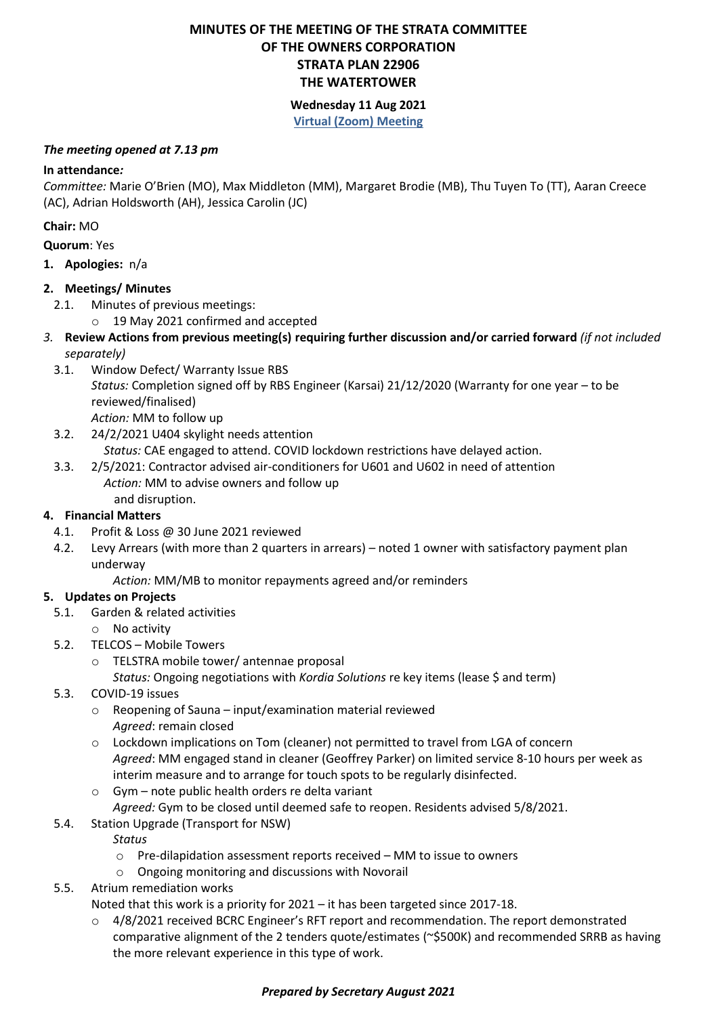# **MINUTES OF THE MEETING OF THE STRATA COMMITTEE OF THE OWNERS CORPORATION STRATA PLAN 22906 THE WATERTOWER**

# **Wednesday 11 Aug 2021 Virtual (Zoom) Meeting**

#### *The meeting opened at 7.13 pm*

# **In attendance***:*

*Committee:* Marie O'Brien (MO), Max Middleton (MM), Margaret Brodie (MB), Thu Tuyen To (TT), Aaran Creece (AC), Adrian Holdsworth (AH), Jessica Carolin (JC)

**Chair:** MO

- **Quorum**: Yes
- **1. Apologies:** n/a

# **2. Meetings/ Minutes**

- 2.1. Minutes of previous meetings:
	- o 19 May 2021 confirmed and accepted
- *3.* **Review Actions from previous meeting(s) requiring further discussion and/or carried forward** *(if not included separately)*
	- 3.1. Window Defect/ Warranty Issue RBS *Status:* Completion signed off by RBS Engineer (Karsai) 21/12/2020 (Warranty for one year – to be reviewed/finalised) *Action:* MM to follow up
	- 3.2. 24/2/2021 U404 skylight needs attention *Status:* CAE engaged to attend. COVID lockdown restrictions have delayed action. 3.3. 2/5/2021: Contractor advised air-conditioners for U601 and U602 in need of attention
	- *Action:* MM to advise owners and follow up and disruption.

# **4. Financial Matters**

- 4.1. Profit & Loss @ 30 June 2021 reviewed
- 4.2. Levy Arrears (with more than 2 quarters in arrears) noted 1 owner with satisfactory payment plan underway

*Action:* MM/MB to monitor repayments agreed and/or reminders

# **5. Updates on Projects**

- 5.1. Garden & related activities
- o No activity
- 5.2. TELCOS Mobile Towers
	- o TELSTRA mobile tower/ antennae proposal
		- *Status:* Ongoing negotiations with *Kordia Solutions* re key items (lease \$ and term)
- 5.3. COVID-19 issues
	- o Reopening of Sauna input/examination material reviewed *Agreed*: remain closed
	- o Lockdown implications on Tom (cleaner) not permitted to travel from LGA of concern *Agreed*: MM engaged stand in cleaner (Geoffrey Parker) on limited service 8-10 hours per week as interim measure and to arrange for touch spots to be regularly disinfected.
	- o Gym note public health orders re delta variant
		- *Agreed:* Gym to be closed until deemed safe to reopen. Residents advised 5/8/2021.
- 5.4. Station Upgrade (Transport for NSW)
	- *Status*
	- $\circ$  Pre-dilapidation assessment reports received MM to issue to owners
	- o Ongoing monitoring and discussions with Novorail
- 5.5. Atrium remediation works
	- Noted that this work is a priority for 2021 it has been targeted since 2017-18.
	- $\circ$  4/8/2021 received BCRC Engineer's RFT report and recommendation. The report demonstrated comparative alignment of the 2 tenders quote/estimates (~\$500K) and recommended SRRB as having the more relevant experience in this type of work.

# *Prepared by Secretary August 2021*